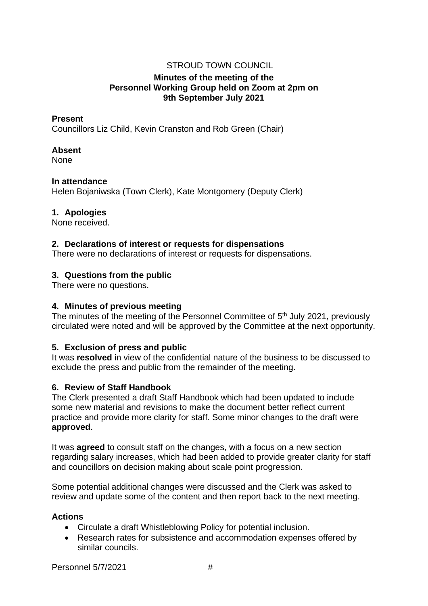# STROUD TOWN COUNCIL

## **Minutes of the meeting of the Personnel Working Group held on Zoom at 2pm on 9th September July 2021**

### **Present**

Councillors Liz Child, Kevin Cranston and Rob Green (Chair)

### **Absent**

None

### **In attendance**

Helen Bojaniwska (Town Clerk), Kate Montgomery (Deputy Clerk)

### **1. Apologies**

None received.

### **2. Declarations of interest or requests for dispensations**

There were no declarations of interest or requests for dispensations.

## **3. Questions from the public**

There were no questions.

## **4. Minutes of previous meeting**

The minutes of the meeting of the Personnel Committee of 5<sup>th</sup> July 2021, previously circulated were noted and will be approved by the Committee at the next opportunity.

## **5. Exclusion of press and public**

It was **resolved** in view of the confidential nature of the business to be discussed to exclude the press and public from the remainder of the meeting.

## **6. Review of Staff Handbook**

The Clerk presented a draft Staff Handbook which had been updated to include some new material and revisions to make the document better reflect current practice and provide more clarity for staff. Some minor changes to the draft were **approved**.

It was **agreed** to consult staff on the changes, with a focus on a new section regarding salary increases, which had been added to provide greater clarity for staff and councillors on decision making about scale point progression.

Some potential additional changes were discussed and the Clerk was asked to review and update some of the content and then report back to the next meeting.

#### **Actions**

- Circulate a draft Whistleblowing Policy for potential inclusion.
- Research rates for subsistence and accommodation expenses offered by similar councils.

Personnel 5/7/2021 #